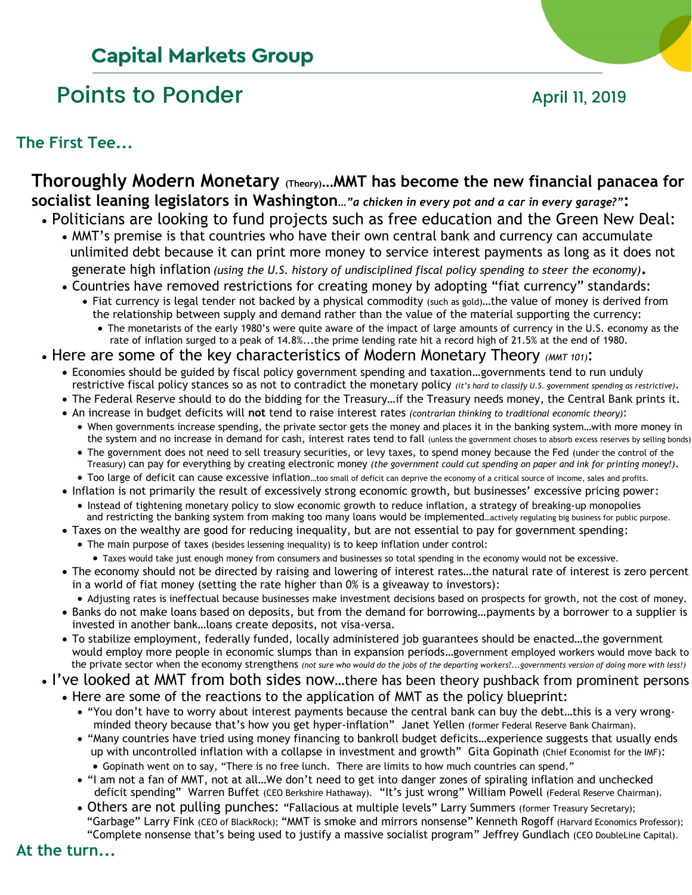# **Capital Markets Group**

# Points to Ponder April 11, 2019



**The First Tee...**

## **Thoroughly Modern Monetary (Theory)…MMT has become the new financial panacea for socialist leaning legislators in Washington***…"a chicken in every pot and a car in every garage?"***:**

- Politicians are looking to fund projects such as free education and the Green New Deal:
	- MMT's premise is that countries who have their own central bank and currency can accumulate unlimited debt because it can print more money to service interest payments as long as it does not generate high inflation *(using the U.S. history of undisciplined fiscal policy spending to steer the economy)***.**
	- Countries have removed restrictions for creating money by adopting "fiat currency" standards:
		- Fiat currency is legal tender not backed by a physical commodity (such as gold)…the value of money is derived from the relationship between supply and demand rather than the value of the material supporting the currency:
			- The monetarists of the early 1980's were quite aware of the impact of large amounts of currency in the U.S. economy as the rate of inflation surged to a peak of 14.8%...the prime lending rate hit a record high of 21.5% at the end of 1980.

### • Here are some of the key characteristics of Modern Monetary Theory *(MMT 101)*:

- Economies should be guided by fiscal policy government spending and taxation…governments tend to run unduly restrictive fiscal policy stances so as not to contradict the monetary policy *(it's hard to classify U.S. government spending as restrictive)*.
- The Federal Reserve should to do the bidding for the Treasury…if the Treasury needs money, the Central Bank prints it.
- An increase in budget deficits will **not** tend to raise interest rates *(contrarian thinking to traditional economic theory)*:
	- When governments increase spending, the private sector gets the money and places it in the banking system…with more money in the system and no increase in demand for cash, interest rates tend to fall (unless the government choses to absorb excess reserves by selling bonds)
	- The government does not need to sell treasury securities, or levy taxes, to spend money because the Fed (under the control of the Treasury) can pay for everything by creating electronic money *(the government could cut spending on paper and ink for printing money!)*.
- Too large of deficit can cause excessive inflation…too small of deficit can deprive the economy of a critical source of income, sales and profits.
- Inflation is not primarily the result of excessively strong economic growth, but businesses' excessive pricing power: • Instead of tightening monetary policy to slow economic growth to reduce inflation, a strategy of breaking-up monopolies
- and restricting the banking system from making too many loans would be implemented…actively regulating big business for public purpose. • Taxes on the wealthy are good for reducing inequality, but are not essential to pay for government spending:
	- The main purpose of taxes (besides lessening inequality) is to keep inflation under control:
	- Taxes would take just enough money from consumers and businesses so total spending in the economy would not be excessive.
- The economy should not be directed by raising and lowering of interest rates…the natural rate of interest is zero percent in a world of fiat money (setting the rate higher than 0% is a giveaway to investors):
	- Adjusting rates is ineffectual because businesses make investment decisions based on prospects for growth, not the cost of money.
- Banks do not make loans based on deposits, but from the demand for borrowing…payments by a borrower to a supplier is invested in another bank…loans create deposits, not visa-versa.
- To stabilize employment, federally funded, locally administered job guarantees should be enacted…the government would employ more people in economic slumps than in expansion periods…government employed workers would move back to the private sector when the economy strengthens *(not sure who would do the jobs of the departing workers*?...*governments version of doing more with less!)*
- I've looked at MMT from both sides now...there has been theory pushback from prominent persons
	- Here are some of the reactions to the application of MMT as the policy blueprint:
		- "You don't have to worry about interest payments because the central bank can buy the debt…this is a very wrong minded theory because that's how you get hyper-inflation" Janet Yellen (former Federal Reserve Bank Chairman).
		- "Many countries have tried using money financing to bankroll budget deficits…experience suggests that usually ends up with uncontrolled inflation with a collapse in investment and growth" Gita Gopinath (Chief Economist for the IMF): • Gopinath went on to say, "There is no free lunch. There are limits to how much countries can spend."
		- "I am not a fan of MMT, not at all…We don't need to get into danger zones of spiraling inflation and unchecked deficit spending" Warren Buffet (CEO Berkshire Hathaway). "It's just wrong" William Powell (Federal Reserve Chairman).
		- Others are not pulling punches: "Fallacious at multiple levels" Larry Summers (former Treasury Secretary); "Garbage" Larry Fink (CEO of BlackRock); "MMT is smoke and mirrors nonsense" Kenneth Rogoff (Harvard Economics Professor); "Complete nonsense that's being used to justify a massive socialist program" Jeffrey Gundlach (CEO DoubleLine Capital).